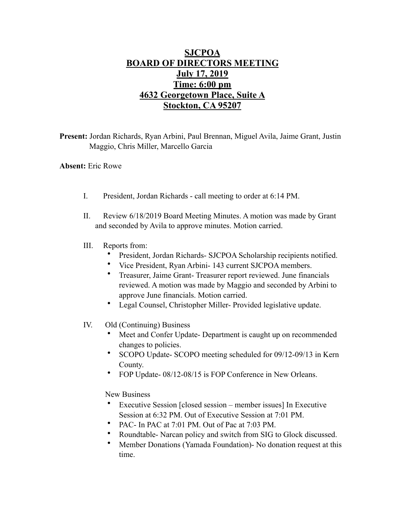## **SJCPOA BOARD OF DIRECTORS MEETING July 17, 2019 Time: 6:00 pm 4632 Georgetown Place, Suite A Stockton, CA 95207**

**Present:** Jordan Richards, Ryan Arbini, Paul Brennan, Miguel Avila, Jaime Grant, Justin Maggio, Chris Miller, Marcello Garcia

## **Absent:** Eric Rowe

- I. President, Jordan Richards call meeting to order at 6:14 PM.
- II. Review 6/18/2019 Board Meeting Minutes. A motion was made by Grant and seconded by Avila to approve minutes. Motion carried.
- III. Reports from:
	- President, Jordan Richards- SJCPOA Scholarship recipients notified.
	- Vice President, Ryan Arbini- 143 current SJCPOA members.
	- Treasurer, Jaime Grant- Treasurer report reviewed. June financials reviewed. A motion was made by Maggio and seconded by Arbini to approve June financials. Motion carried.
	- Legal Counsel, Christopher Miller- Provided legislative update.
- IV. Old (Continuing) Business
	- Meet and Confer Update- Department is caught up on recommended changes to policies.
	- SCOPO Update- SCOPO meeting scheduled for 09/12-09/13 in Kern County.
	- FOP Update- 08/12-08/15 is FOP Conference in New Orleans.

New Business

- Executive Session [closed session member issues] In Executive Session at 6:32 PM. Out of Executive Session at 7:01 PM.
- PAC- In PAC at 7:01 PM. Out of Pac at 7:03 PM.
- Roundtable- Narcan policy and switch from SIG to Glock discussed.
- Member Donations (Yamada Foundation)- No donation request at this time.